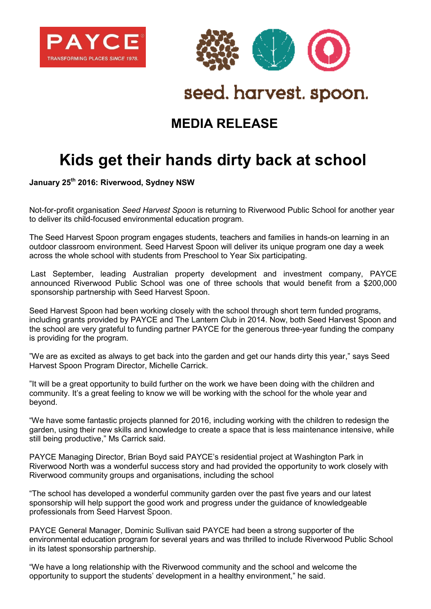



## seed. harvest. spoon.

## **MEDIA RELEASE**

## **Kids get their hands dirty back at school**

**January 25th 2016: Riverwood, Sydney NSW**

Not-for-profit organisation *Seed Harvest Spoon* is returning to Riverwood Public School for another year to deliver its child-focused environmental education program.

The Seed Harvest Spoon program engages students, teachers and families in hands-on learning in an outdoor classroom environment. Seed Harvest Spoon will deliver its unique program one day a week across the whole school with students from Preschool to Year Six participating.

Last September, leading Australian property development and investment company, PAYCE announced Riverwood Public School was one of three schools that would benefit from a \$200,000 sponsorship partnership with Seed Harvest Spoon.

Seed Harvest Spoon had been working closely with the school through short term funded programs, including grants provided by PAYCE and The Lantern Club in 2014. Now, both Seed Harvest Spoon and the school are very grateful to funding partner PAYCE for the generous three-year funding the company is providing for the program.

"We are as excited as always to get back into the garden and get our hands dirty this year," says Seed Harvest Spoon Program Director, Michelle Carrick.

"It will be a great opportunity to build further on the work we have been doing with the children and community. It's a great feeling to know we will be working with the school for the whole year and beyond.

"We have some fantastic projects planned for 2016, including working with the children to redesign the garden, using their new skills and knowledge to create a space that is less maintenance intensive, while still being productive," Ms Carrick said.

PAYCE Managing Director, Brian Boyd said PAYCE's residential project at Washington Park in Riverwood North was a wonderful success story and had provided the opportunity to work closely with Riverwood community groups and organisations, including the school

"The school has developed a wonderful community garden over the past five years and our latest sponsorship will help support the good work and progress under the guidance of knowledgeable professionals from Seed Harvest Spoon.

PAYCE General Manager, Dominic Sullivan said PAYCE had been a strong supporter of the environmental education program for several years and was thrilled to include Riverwood Public School in its latest sponsorship partnership.

"We have a long relationship with the Riverwood community and the school and welcome the opportunity to support the students' development in a healthy environment," he said.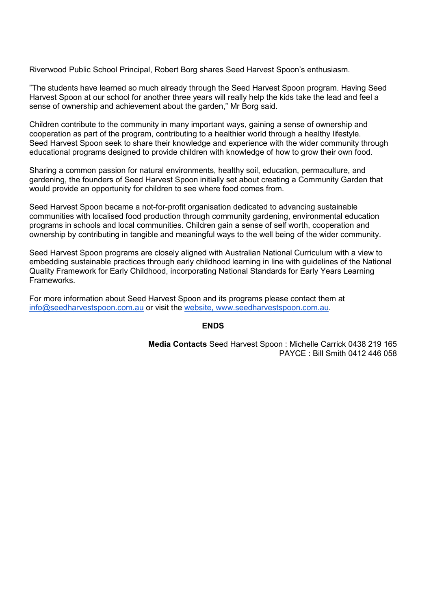Riverwood Public School Principal, Robert Borg shares Seed Harvest Spoon's enthusiasm.

"The students have learned so much already through the Seed Harvest Spoon program. Having Seed Harvest Spoon at our school for another three years will really help the kids take the lead and feel a sense of ownership and achievement about the garden," Mr Borg said.

Children contribute to the community in many important ways, gaining a sense of ownership and cooperation as part of the program, contributing to a healthier world through a healthy lifestyle. Seed Harvest Spoon seek to share their knowledge and experience with the wider community through educational programs designed to provide children with knowledge of how to grow their own food.

Sharing a common passion for natural environments, healthy soil, education, permaculture, and gardening, the founders of Seed Harvest Spoon initially set about creating a Community Garden that would provide an opportunity for children to see where food comes from.

Seed Harvest Spoon became a not-for-profit organisation dedicated to advancing sustainable communities with localised food production through community gardening, environmental education programs in schools and local communities. Children gain a sense of self worth, cooperation and ownership by contributing in tangible and meaningful ways to the well being of the wider community.

Seed Harvest Spoon programs are closely aligned with Australian National Curriculum with a view to embedding sustainable practices through early childhood learning in line with guidelines of the National Quality Framework for Early Childhood, incorporating National Standards for Early Years Learning Frameworks.

For more information about Seed Harvest Spoon and its programs please contact them at [info@seedharvestspoon.com.au](mailto:info@seedharvestspoon.com.au) or visit the [website,](http://www.canadabay.nsw.gov.au/link.aspx?id=1464) www.seedharvestspoon.com.au.

## **ENDS**

**Media Contacts** Seed Harvest Spoon : Michelle Carrick 0438 219 165 PAYCE : Bill Smith 0412 446 058